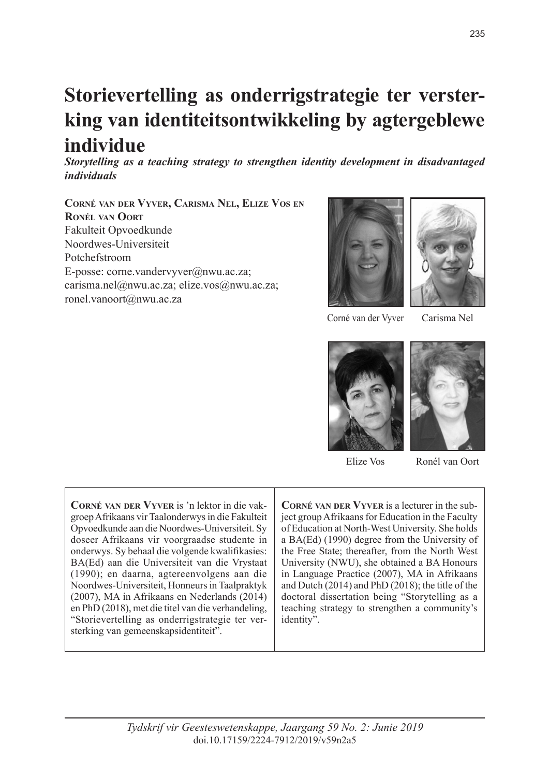# **Storievertelling as onderrigstrategie ter versterking van identiteitsontwikkeling by agtergeblewe individue**

*Storytelling as a teaching strategy to strengthen identity development in disadvantaged individuals*

**Corné van der Vyver, Carisma Nel, Elize Vos en Ronél van Oort** Fakulteit Opvoedkunde Noordwes-Universiteit Potchefstroom E-posse: corne.vandervyver@nwu.ac.za; carisma.nel@nwu.ac.za; elize.vos@nwu.ac.za; ronel.vanoort@nwu.ac.za





Corné van der Vyver

Carisma Nel



Elize Vos

Ronél van Oort

**Corné van der Vyver** is 'n lektor in die vakgroep Afrikaans vir Taalonderwys in die Fakulteit Opvoedkunde aan die Noordwes-Universiteit. Sy doseer Afrikaans vir voorgraadse studente in onderwys. Sy behaal die volgende kwalifikasies: BA(Ed) aan die Universiteit van die Vrystaat (1990); en daarna, agtereenvolgens aan die Noordwes-Universiteit, Honneurs in Taalpraktyk (2007), MA in Afrikaans en Nederlands (2014) en PhD (2018), met die titel van die verhandeling, "Storievertelling as onderrigstrategie ter versterking van gemeenskapsidentiteit".

**Corné van der Vyver** is a lecturer in the subject group Afrikaans for Education in the Faculty of Education at North-West University. She holds a BA(Ed) (1990) degree from the University of the Free State; thereafter, from the North West University (NWU), she obtained a BA Honours in Language Practice (2007), MA in Afrikaans and Dutch (2014) and PhD (2018); the title of the doctoral dissertation being "Storytelling as a teaching strategy to strengthen a community's identity".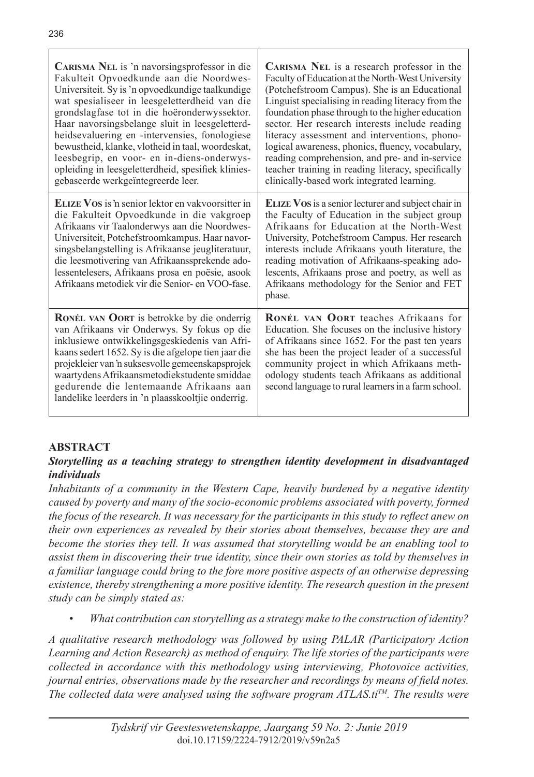| CARISMA NEL is 'n navorsingsprofessor in die<br>Fakulteit Opvoedkunde aan die Noordwes-<br>Universiteit. Sy is 'n opvoedkundige taalkundige<br>wat spesialiseer in leesgeletterdheid van die<br>grondslagfase tot in die hoëronderwyssektor.<br>Haar navorsingsbelange sluit in leesgeletterd-<br>heidsevaluering en -intervensies, fonologiese<br>bewustheid, klanke, vlotheid in taal, woordeskat,<br>leesbegrip, en voor- en in-diens-onderwys-<br>opleiding in leesgeletterdheid, spesifiek klinies-<br>gebaseerde werkgeïntegreerde leer. | <b>CARISMA</b> NEL is a research professor in the<br>Faculty of Education at the North-West University<br>(Potchefstroom Campus). She is an Educational<br>Linguist specialising in reading literacy from the<br>foundation phase through to the higher education<br>sector. Her research interests include reading<br>literacy assessment and interventions, phono-<br>logical awareness, phonics, fluency, vocabulary,<br>reading comprehension, and pre- and in-service<br>teacher training in reading literacy, specifically<br>clinically-based work integrated learning. |
|------------------------------------------------------------------------------------------------------------------------------------------------------------------------------------------------------------------------------------------------------------------------------------------------------------------------------------------------------------------------------------------------------------------------------------------------------------------------------------------------------------------------------------------------|--------------------------------------------------------------------------------------------------------------------------------------------------------------------------------------------------------------------------------------------------------------------------------------------------------------------------------------------------------------------------------------------------------------------------------------------------------------------------------------------------------------------------------------------------------------------------------|
| <b>ELIZE VOS</b> is 'n senior lektor en vakvoorsitter in<br>die Fakulteit Opvoedkunde in die vakgroep<br>Afrikaans vir Taalonderwys aan die Noordwes-<br>Universiteit, Potchefstroomkampus. Haar navor-<br>singsbelangstelling is Afrikaanse jeugliteratuur,<br>die leesmotivering van Afrikaanssprekende ado-<br>lessentelesers, Afrikaans prosa en poësie, asook<br>Afrikaans metodiek vir die Senior- en VOO-fase.                                                                                                                          | <b>ELIZE VOS</b> is a senior lecturer and subject chair in<br>the Faculty of Education in the subject group<br>Afrikaans for Education at the North-West<br>University, Potchefstroom Campus. Her research<br>interests include Afrikaans youth literature, the<br>reading motivation of Afrikaans-speaking ado-<br>lescents, Afrikaans prose and poetry, as well as<br>Afrikaans methodology for the Senior and FET<br>phase.                                                                                                                                                 |
| <b>RONÉL VAN OORT</b> is betrokke by die onderrig<br>van Afrikaans vir Onderwys. Sy fokus op die<br>inklusiewe ontwikkelingsgeskiedenis van Afri-<br>kaans sedert 1652. Sy is die afgelope tien jaar die<br>projekleier van 'n suksesvolle gemeenskapsprojek<br>waartydens Afrikaansmetodiekstudente smiddae<br>gedurende die lentemaande Afrikaans aan<br>landelike leerders in 'n plaasskooltjie onderrig.                                                                                                                                   | RONÉL VAN OORT teaches Afrikaans for<br>Education. She focuses on the inclusive history<br>of Afrikaans since 1652. For the past ten years<br>she has been the project leader of a successful<br>community project in which Afrikaans meth-<br>odology students teach Afrikaans as additional<br>second language to rural learners in a farm school.                                                                                                                                                                                                                           |

# **ABSTRACT**

# *Storytelling as a teaching strategy to strengthen identity development in disadvantaged individuals*

*Inhabitants of a community in the Western Cape, heavily burdened by a negative identity caused by poverty and many of the socio-economic problems associated with poverty, formed the focus of the research. It was necessary for the participants in this study to reflect anew on their own experiences as revealed by their stories about themselves, because they are and become the stories they tell. It was assumed that storytelling would be an enabling tool to assist them in discovering their true identity, since their own stories as told by themselves in a familiar language could bring to the fore more positive aspects of an otherwise depressing existence, thereby strengthening a more positive identity. The research question in the present study can be simply stated as:*

*• What contribution can storytelling as a strategy make to the construction of identity?*

*A qualitative research methodology was followed by using PALAR (Participatory Action Learning and Action Research) as method of enquiry. The life stories of the participants were collected in accordance with this methodology using interviewing, Photovoice activities, journal entries, observations made by the researcher and recordings by means of field notes.*  The collected data were analysed using the software program  $ATLAS.t<sup>TM</sup>$ . The results were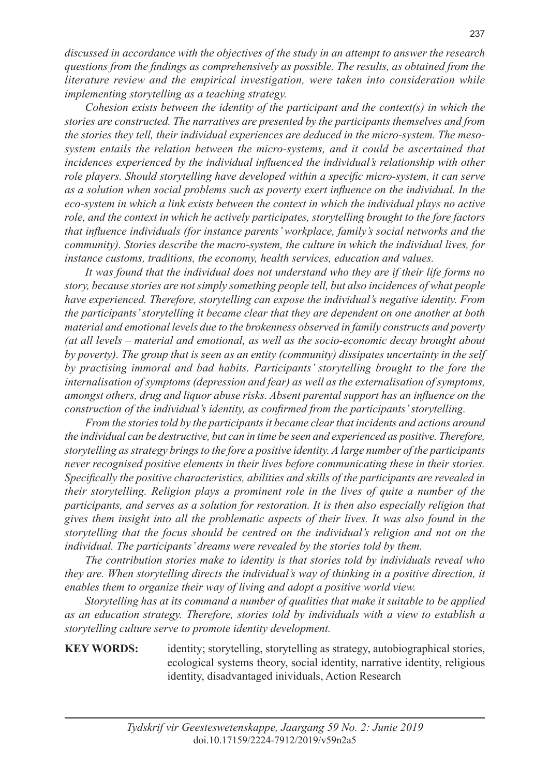*discussed in accordance with the objectives of the study in an attempt to answer the research questions from the findings as comprehensively as possible. The results, as obtained from the literature review and the empirical investigation, were taken into consideration while implementing storytelling as a teaching strategy.* 

*Cohesion exists between the identity of the participant and the context(s) in which the stories are constructed. The narratives are presented by the participants themselves and from the stories they tell, their individual experiences are deduced in the micro-system. The mesosystem entails the relation between the micro-systems, and it could be ascertained that incidences experienced by the individual influenced the individual's relationship with other role players. Should storytelling have developed within a specific micro-system, it can serve as a solution when social problems such as poverty exert influence on the individual. In the eco-system in which a link exists between the context in which the individual plays no active role, and the context in which he actively participates, storytelling brought to the fore factors that influence individuals (for instance parents' workplace, family's social networks and the community). Stories describe the macro-system, the culture in which the individual lives, for instance customs, traditions, the economy, health services, education and values.* 

*It was found that the individual does not understand who they are if their life forms no story, because stories are not simply something people tell, but also incidences of what people have experienced. Therefore, storytelling can expose the individual's negative identity. From the participants' storytelling it became clear that they are dependent on one another at both material and emotional levels due to the brokenness observed in family constructs and poverty (at all levels – material and emotional, as well as the socio-economic decay brought about by poverty). The group that is seen as an entity (community) dissipates uncertainty in the self by practising immoral and bad habits. Participants' storytelling brought to the fore the internalisation of symptoms (depression and fear) as well as the externalisation of symptoms, amongst others, drug and liquor abuse risks. Absent parental support has an influence on the construction of the individual's identity, as confirmed from the participants' storytelling.*

*From the stories told by the participants it became clear that incidents and actions around the individual can be destructive, but can in time be seen and experienced as positive. Therefore, storytelling as strategy brings to the fore a positive identity. A large number of the participants never recognised positive elements in their lives before communicating these in their stories. Specifically the positive characteristics, abilities and skills of the participants are revealed in their storytelling. Religion plays a prominent role in the lives of quite a number of the participants, and serves as a solution for restoration. It is then also especially religion that gives them insight into all the problematic aspects of their lives. It was also found in the storytelling that the focus should be centred on the individual's religion and not on the individual. The participants' dreams were revealed by the stories told by them.*

*The contribution stories make to identity is that stories told by individuals reveal who they are. When storytelling directs the individual's way of thinking in a positive direction, it enables them to organize their way of living and adopt a positive world view.* 

*Storytelling has at its command a number of qualities that make it suitable to be applied as an education strategy. Therefore, stories told by individuals with a view to establish a storytelling culture serve to promote identity development.*

# **KEY WORDS:** identity; storytelling, storytelling as strategy, autobiographical stories, ecological systems theory, social identity, narrative identity, religious identity, disadvantaged inividuals, Action Research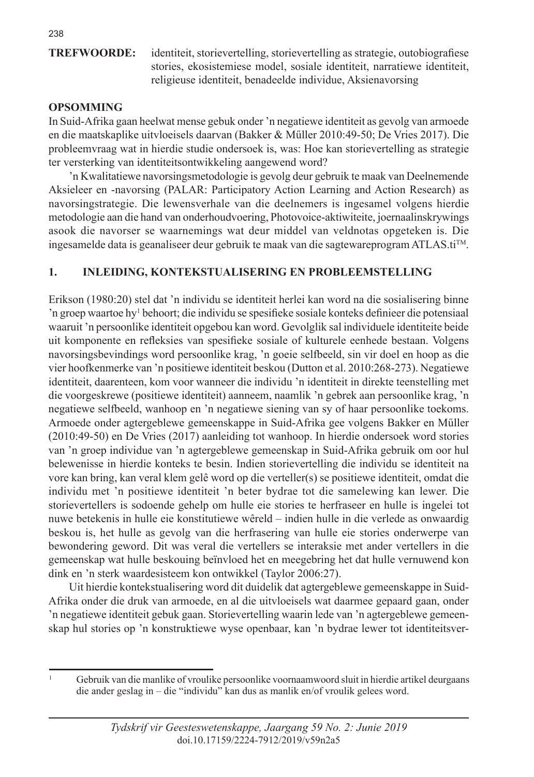**TREFWOORDE:** identiteit, storievertelling, storievertelling as strategie, outobiografiese stories, ekosistemiese model, sosiale identiteit, narratiewe identiteit, religieuse identiteit, benadeelde individue, Aksienavorsing

# **OPSOMMING**

In Suid-Afrika gaan heelwat mense gebuk onder 'n negatiewe identiteit as gevolg van armoede en die maatskaplike uitvloeisels daarvan (Bakker & Műller 2010:49-50; De Vries 2017). Die probleemvraag wat in hierdie studie ondersoek is, was: Hoe kan storievertelling as strategie ter versterking van identiteitsontwikkeling aangewend word?

'n Kwalitatiewe navorsingsmetodologie is gevolg deur gebruik te maak van Deelnemende Aksieleer en -navorsing (PALAR: Participatory Action Learning and Action Research) as navorsingstrategie. Die lewensverhale van die deelnemers is ingesamel volgens hierdie metodologie aan die hand van onderhoudvoering, Photovoice-aktiwiteite, joernaalinskrywings asook die navorser se waarnemings wat deur middel van veldnotas opgeteken is. Die ingesamelde data is geanaliseer deur gebruik te maak van die sagtewareprogram ATLAS.tiTM.

# **1. INLEIDING, KONTEKSTUALISERING EN PROBLEEMSTELLING**

Erikson (1980:20) stel dat 'n individu se identiteit herlei kan word na die sosialisering binne 'n groep waartoe hy1 behoort; die individu se spesifieke sosiale konteks definieer die potensiaal waaruit 'n persoonlike identiteit opgebou kan word. Gevolglik sal individuele identiteite beide uit komponente en refleksies van spesifieke sosiale of kulturele eenhede bestaan. Volgens navorsingsbevindings word persoonlike krag, 'n goeie selfbeeld, sin vir doel en hoop as die vier hoofkenmerke van 'n positiewe identiteit beskou (Dutton et al. 2010:268-273). Negatiewe identiteit, daarenteen, kom voor wanneer die individu 'n identiteit in direkte teenstelling met die voorgeskrewe (positiewe identiteit) aanneem, naamlik 'n gebrek aan persoonlike krag, 'n negatiewe selfbeeld, wanhoop en 'n negatiewe siening van sy of haar persoonlike toekoms. Armoede onder agtergeblewe gemeenskappe in Suid-Afrika gee volgens Bakker en Műller (2010:49-50) en De Vries (2017) aanleiding tot wanhoop. In hierdie ondersoek word stories van 'n groep individue van 'n agtergeblewe gemeenskap in Suid-Afrika gebruik om oor hul belewenisse in hierdie konteks te besin. Indien storievertelling die individu se identiteit na vore kan bring, kan veral klem gelê word op die verteller(s) se positiewe identiteit, omdat die individu met 'n positiewe identiteit 'n beter bydrae tot die samelewing kan lewer. Die storievertellers is sodoende gehelp om hulle eie stories te herfraseer en hulle is ingelei tot nuwe betekenis in hulle eie konstitutiewe wêreld – indien hulle in die verlede as onwaardig beskou is, het hulle as gevolg van die herfrasering van hulle eie stories onderwerpe van bewondering geword. Dit was veral die vertellers se interaksie met ander vertellers in die gemeenskap wat hulle beskouing beïnvloed het en meegebring het dat hulle vernuwend kon dink en 'n sterk waardesisteem kon ontwikkel (Taylor 2006:27).

Uit hierdie kontekstualisering word dit duidelik dat agtergeblewe gemeenskappe in Suid-Afrika onder die druk van armoede, en al die uitvloeisels wat daarmee gepaard gaan, onder 'n negatiewe identiteit gebuk gaan. Storievertelling waarin lede van 'n agtergeblewe gemeenskap hul stories op 'n konstruktiewe wyse openbaar, kan 'n bydrae lewer tot identiteitsver-

<sup>1</sup> Gebruik van die manlike of vroulike persoonlike voornaamwoord sluit in hierdie artikel deurgaans die ander geslag in – die "individu" kan dus as manlik en/of vroulik gelees word.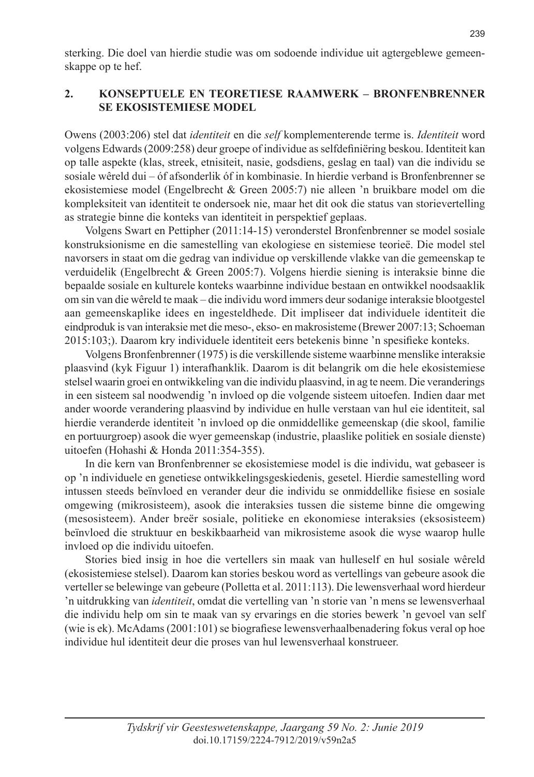sterking. Die doel van hierdie studie was om sodoende individue uit agtergeblewe gemeenskappe op te hef.

# **2. KONSEPTUELE EN TEORETIESE RAAMWERK – BRONFENBRENNER SE EKOSISTEMIESE MODEL**

Owens (2003:206) stel dat *identiteit* en die *self* komplementerende terme is. *Identiteit* word volgens Edwards (2009:258) deur groepe of individue as selfdefiniëring beskou. Identiteit kan op talle aspekte (klas, streek, etnisiteit, nasie, godsdiens, geslag en taal) van die individu se sosiale wêreld dui – óf afsonderlik óf in kombinasie. In hierdie verband is Bronfenbrenner se ekosistemiese model (Engelbrecht & Green 2005:7) nie alleen 'n bruikbare model om die kompleksiteit van identiteit te ondersoek nie, maar het dit ook die status van storievertelling as strategie binne die konteks van identiteit in perspektief geplaas.

Volgens Swart en Pettipher (2011:14-15) veronderstel Bronfenbrenner se model sosiale konstruksionisme en die samestelling van ekologiese en sistemiese teorieë. Die model stel navorsers in staat om die gedrag van individue op verskillende vlakke van die gemeenskap te verduidelik (Engelbrecht & Green 2005:7). Volgens hierdie siening is interaksie binne die bepaalde sosiale en kulturele konteks waarbinne individue bestaan en ontwikkel noodsaaklik om sin van die wêreld te maak – die individu word immers deur sodanige interaksie blootgestel aan gemeenskaplike idees en ingesteldhede. Dit impliseer dat individuele identiteit die eindproduk is van interaksie met die meso-, ekso- en makrosisteme (Brewer 2007:13; Schoeman 2015:103;). Daarom kry individuele identiteit eers betekenis binne 'n spesifieke konteks.

Volgens Bronfenbrenner (1975) is die verskillende sisteme waarbinne menslike interaksie plaasvind (kyk Figuur 1) interafhanklik. Daarom is dit belangrik om die hele ekosistemiese stelsel waarin groei en ontwikkeling van die individu plaasvind, in ag te neem. Die veranderings in een sisteem sal noodwendig 'n invloed op die volgende sisteem uitoefen. Indien daar met ander woorde verandering plaasvind by individue en hulle verstaan van hul eie identiteit, sal hierdie veranderde identiteit 'n invloed op die onmiddellike gemeenskap (die skool, familie en portuurgroep) asook die wyer gemeenskap (industrie, plaaslike politiek en sosiale dienste) uitoefen (Hohashi & Honda 2011:354-355).

In die kern van Bronfenbrenner se ekosistemiese model is die individu, wat gebaseer is op 'n individuele en genetiese ontwikkelingsgeskiedenis, gesetel. Hierdie samestelling word intussen steeds beïnvloed en verander deur die individu se onmiddellike fisiese en sosiale omgewing (mikrosisteem), asook die interaksies tussen die sisteme binne die omgewing (mesosisteem). Ander breër sosiale, politieke en ekonomiese interaksies (eksosisteem) beïnvloed die struktuur en beskikbaarheid van mikrosisteme asook die wyse waarop hulle invloed op die individu uitoefen.

Stories bied insig in hoe die vertellers sin maak van hulleself en hul sosiale wêreld (ekosistemiese stelsel). Daarom kan stories beskou word as vertellings van gebeure asook die verteller se belewinge van gebeure (Polletta et al. 2011:113). Die lewensverhaal word hierdeur 'n uitdrukking van *identiteit*, omdat die vertelling van 'n storie van 'n mens se lewensverhaal die individu help om sin te maak van sy ervarings en die stories bewerk 'n gevoel van self (wie is ek). McAdams (2001:101) se biografiese lewensverhaalbenadering fokus veral op hoe individue hul identiteit deur die proses van hul lewensverhaal konstrueer.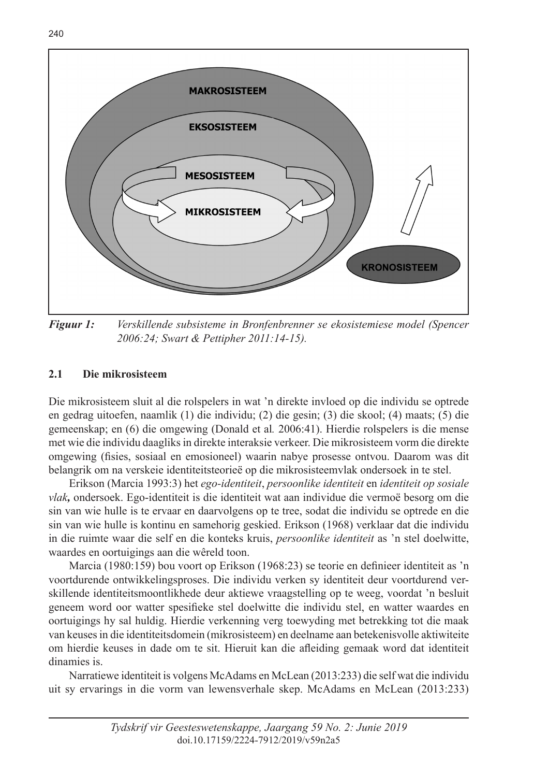

*Figuur 1: Verskillende subsisteme in Bronfenbrenner se ekosistemiese model (Spencer 2006:24; Swart & Pettipher 2011:14-15).*

# **2.1 Die mikrosisteem**

Die mikrosisteem sluit al die rolspelers in wat 'n direkte invloed op die individu se optrede en gedrag uitoefen, naamlik (1) die individu; (2) die gesin; (3) die skool; (4) maats; (5) die gemeenskap; en (6) die omgewing (Donald et al*.* 2006:41). Hierdie rolspelers is die mense met wie die individu daagliks in direkte interaksie verkeer. Die mikrosisteem vorm die direkte omgewing (fisies, sosiaal en emosioneel) waarin nabye prosesse ontvou. Daarom was dit belangrik om na verskeie identiteitsteorieë op die mikrosisteemvlak ondersoek in te stel.

Erikson (Marcia 1993:3) het *ego-identiteit*, *persoonlike identiteit* en *identiteit op sosiale vlak,* ondersoek. Ego-identiteit is die identiteit wat aan individue die vermoë besorg om die sin van wie hulle is te ervaar en daarvolgens op te tree, sodat die individu se optrede en die sin van wie hulle is kontinu en samehorig geskied. Erikson (1968) verklaar dat die individu in die ruimte waar die self en die konteks kruis, *persoonlike identiteit* as 'n stel doelwitte, waardes en oortuigings aan die wêreld toon.

Marcia (1980:159) bou voort op Erikson (1968:23) se teorie en definieer identiteit as 'n voortdurende ontwikkelingsproses. Die individu verken sy identiteit deur voortdurend verskillende identiteitsmoontlikhede deur aktiewe vraagstelling op te weeg, voordat 'n besluit geneem word oor watter spesifieke stel doelwitte die individu stel, en watter waardes en oortuigings hy sal huldig. Hierdie verkenning verg toewyding met betrekking tot die maak van keuses in die identiteitsdomein (mikrosisteem) en deelname aan betekenisvolle aktiwiteite om hierdie keuses in dade om te sit. Hieruit kan die afleiding gemaak word dat identiteit dinamies is.

Narratiewe identiteit is volgens McAdams en McLean (2013:233) die self wat die individu uit sy ervarings in die vorm van lewensverhale skep. McAdams en McLean (2013:233)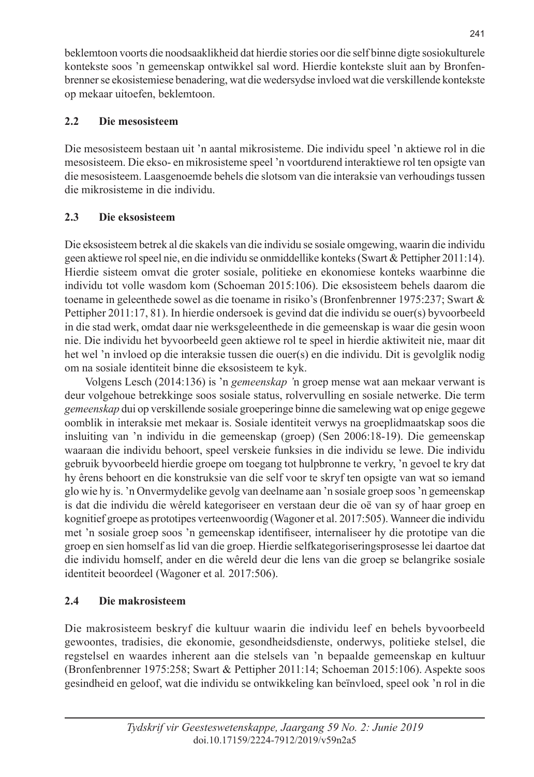beklemtoon voorts die noodsaaklikheid dat hierdie stories oor die self binne digte sosiokulturele kontekste soos 'n gemeenskap ontwikkel sal word. Hierdie kontekste sluit aan by Bronfenbrenner se ekosistemiese benadering, wat die wedersydse invloed wat die verskillende kontekste op mekaar uitoefen, beklemtoon.

# **2.2 Die mesosisteem**

Die mesosisteem bestaan uit 'n aantal mikrosisteme. Die individu speel 'n aktiewe rol in die mesosisteem. Die ekso- en mikrosisteme speel 'n voortdurend interaktiewe rol ten opsigte van die mesosisteem. Laasgenoemde behels die slotsom van die interaksie van verhoudings tussen die mikrosisteme in die individu.

# **2.3 Die eksosisteem**

Die eksosisteem betrek al die skakels van die individu se sosiale omgewing, waarin die individu geen aktiewe rol speel nie, en die individu se onmiddellike konteks (Swart & Pettipher 2011:14). Hierdie sisteem omvat die groter sosiale, politieke en ekonomiese konteks waarbinne die individu tot volle wasdom kom (Schoeman 2015:106). Die eksosisteem behels daarom die toename in geleenthede sowel as die toename in risiko's (Bronfenbrenner 1975:237; Swart & Pettipher 2011:17, 81). In hierdie ondersoek is gevind dat die individu se ouer(s) byvoorbeeld in die stad werk, omdat daar nie werksgeleenthede in die gemeenskap is waar die gesin woon nie. Die individu het byvoorbeeld geen aktiewe rol te speel in hierdie aktiwiteit nie, maar dit het wel 'n invloed op die interaksie tussen die ouer(s) en die individu. Dit is gevolglik nodig om na sosiale identiteit binne die eksosisteem te kyk.

Volgens Lesch (2014:136) is 'n *gemeenskap '*n groep mense wat aan mekaar verwant is deur volgehoue betrekkinge soos sosiale status, rolvervulling en sosiale netwerke. Die term *gemeenskap* dui op verskillende sosiale groeperinge binne die samelewing wat op enige gegewe oomblik in interaksie met mekaar is. Sosiale identiteit verwys na groeplidmaatskap soos die insluiting van 'n individu in die gemeenskap (groep) (Sen 2006:18-19). Die gemeenskap waaraan die individu behoort, speel verskeie funksies in die individu se lewe. Die individu gebruik byvoorbeeld hierdie groepe om toegang tot hulpbronne te verkry, 'n gevoel te kry dat hy êrens behoort en die konstruksie van die self voor te skryf ten opsigte van wat so iemand glo wie hy is. 'n Onvermydelike gevolg van deelname aan 'n sosiale groep soos 'n gemeenskap is dat die individu die wêreld kategoriseer en verstaan deur die oë van sy of haar groep en kognitief groepe as prototipes verteenwoordig (Wagoner et al. 2017:505). Wanneer die individu met 'n sosiale groep soos 'n gemeenskap identifiseer, internaliseer hy die prototipe van die groep en sien homself as lid van die groep. Hierdie selfkategoriseringsprosesse lei daartoe dat die individu homself, ander en die wêreld deur die lens van die groep se belangrike sosiale identiteit beoordeel (Wagoner et al*.* 2017:506).

# **2.4 Die makrosisteem**

Die makrosisteem beskryf die kultuur waarin die individu leef en behels byvoorbeeld gewoontes, tradisies, die ekonomie, gesondheidsdienste, onderwys, politieke stelsel, die regstelsel en waardes inherent aan die stelsels van 'n bepaalde gemeenskap en kultuur (Bronfenbrenner 1975:258; Swart & Pettipher 2011:14; Schoeman 2015:106). Aspekte soos gesindheid en geloof, wat die individu se ontwikkeling kan beïnvloed, speel ook 'n rol in die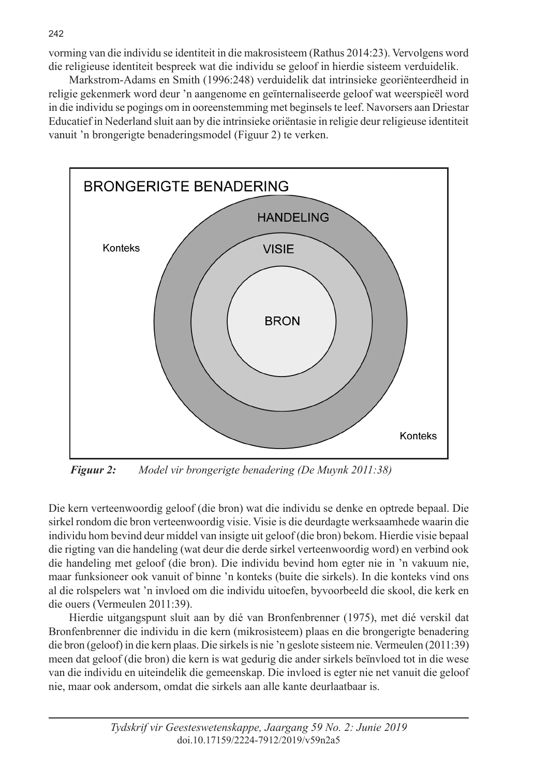vorming van die individu se identiteit in die makrosisteem (Rathus 2014:23). Vervolgens word die religieuse identiteit bespreek wat die individu se geloof in hierdie sisteem verduidelik.

Markstrom-Adams en Smith (1996:248) verduidelik dat intrinsieke georiënteerdheid in religie gekenmerk word deur 'n aangenome en geïnternaliseerde geloof wat weerspieël word in die individu se pogings om in ooreenstemming met beginsels te leef. Navorsers aan Driestar Educatief in Nederland sluit aan by die intrinsieke oriëntasie in religie deur religieuse identiteit vanuit 'n brongerigte benaderingsmodel (Figuur 2) te verken.



*Figuur 2: Model vir brongerigte benadering (De Muynk 2011:38)*

Die kern verteenwoordig geloof (die bron) wat die individu se denke en optrede bepaal. Die sirkel rondom die bron verteenwoordig visie. Visie is die deurdagte werksaamhede waarin die individu hom bevind deur middel van insigte uit geloof (die bron) bekom. Hierdie visie bepaal die rigting van die handeling (wat deur die derde sirkel verteenwoordig word) en verbind ook die handeling met geloof (die bron). Die individu bevind hom egter nie in 'n vakuum nie, maar funksioneer ook vanuit of binne 'n konteks (buite die sirkels). In die konteks vind ons al die rolspelers wat 'n invloed om die individu uitoefen, byvoorbeeld die skool, die kerk en die ouers (Vermeulen 2011:39).

Hierdie uitgangspunt sluit aan by dié van Bronfenbrenner (1975), met dié verskil dat Bronfenbrenner die individu in die kern (mikrosisteem) plaas en die brongerigte benadering die bron (geloof) in die kern plaas. Die sirkels is nie 'n geslote sisteem nie. Vermeulen (2011:39) meen dat geloof (die bron) die kern is wat gedurig die ander sirkels beïnvloed tot in die wese van die individu en uiteindelik die gemeenskap. Die invloed is egter nie net vanuit die geloof nie, maar ook andersom, omdat die sirkels aan alle kante deurlaatbaar is.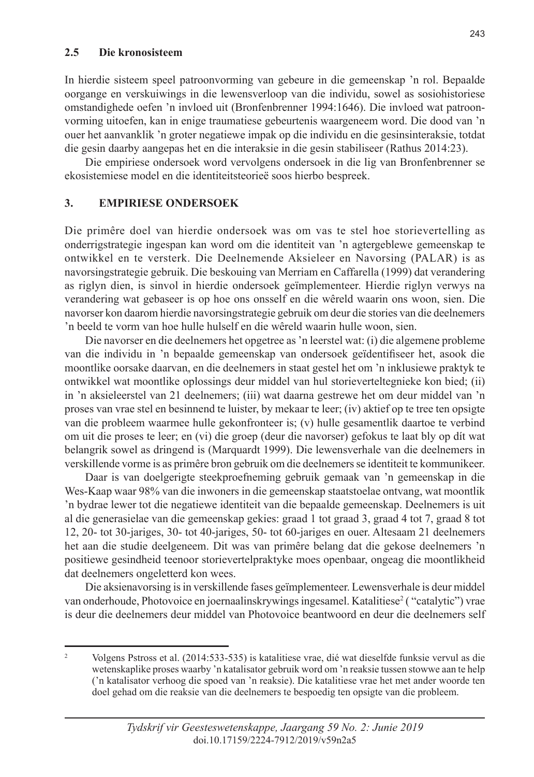#### **2.5 Die kronosisteem**

In hierdie sisteem speel patroonvorming van gebeure in die gemeenskap 'n rol. Bepaalde oorgange en verskuiwings in die lewensverloop van die individu, sowel as sosiohistoriese omstandighede oefen 'n invloed uit (Bronfenbrenner 1994:1646). Die invloed wat patroonvorming uitoefen, kan in enige traumatiese gebeurtenis waargeneem word. Die dood van 'n ouer het aanvanklik 'n groter negatiewe impak op die individu en die gesinsinteraksie, totdat die gesin daarby aangepas het en die interaksie in die gesin stabiliseer (Rathus 2014:23).

Die empiriese ondersoek word vervolgens ondersoek in die lig van Bronfenbrenner se ekosistemiese model en die identiteitsteorieë soos hierbo bespreek.

### **3. EMPIRIESE ONDERSOEK**

Die primêre doel van hierdie ondersoek was om vas te stel hoe storievertelling as onderrigstrategie ingespan kan word om die identiteit van 'n agtergeblewe gemeenskap te ontwikkel en te versterk. Die Deelnemende Aksieleer en Navorsing (PALAR) is as navorsingstrategie gebruik. Die beskouing van Merriam en Caffarella (1999) dat verandering as riglyn dien, is sinvol in hierdie ondersoek geïmplementeer. Hierdie riglyn verwys na verandering wat gebaseer is op hoe ons onsself en die wêreld waarin ons woon, sien. Die navorser kon daarom hierdie navorsingstrategie gebruik om deur die stories van die deelnemers 'n beeld te vorm van hoe hulle hulself en die wêreld waarin hulle woon, sien.

Die navorser en die deelnemers het opgetree as 'n leerstel wat: (i) die algemene probleme van die individu in 'n bepaalde gemeenskap van ondersoek geïdentifiseer het, asook die moontlike oorsake daarvan, en die deelnemers in staat gestel het om 'n inklusiewe praktyk te ontwikkel wat moontlike oplossings deur middel van hul storieverteltegnieke kon bied; (ii) in 'n aksieleerstel van 21 deelnemers; (iii) wat daarna gestrewe het om deur middel van 'n proses van vrae stel en besinnend te luister, by mekaar te leer; (iv) aktief op te tree ten opsigte van die probleem waarmee hulle gekonfronteer is; (v) hulle gesamentlik daartoe te verbind om uit die proses te leer; en (vi) die groep (deur die navorser) gefokus te laat bly op dít wat belangrik sowel as dringend is (Marquardt 1999). Die lewensverhale van die deelnemers in verskillende vorme is as primêre bron gebruik om die deelnemers se identiteit te kommunikeer.

Daar is van doelgerigte steekproefneming gebruik gemaak van 'n gemeenskap in die Wes-Kaap waar 98% van die inwoners in die gemeenskap staatstoelae ontvang, wat moontlik 'n bydrae lewer tot die negatiewe identiteit van die bepaalde gemeenskap. Deelnemers is uit al die generasielae van die gemeenskap gekies: graad 1 tot graad 3, graad 4 tot 7, graad 8 tot 12, 20- tot 30-jariges, 30- tot 40-jariges, 50- tot 60-jariges en ouer. Altesaam 21 deelnemers het aan die studie deelgeneem. Dit was van primêre belang dat die gekose deelnemers 'n positiewe gesindheid teenoor storievertelpraktyke moes openbaar, ongeag die moontlikheid dat deelnemers ongeletterd kon wees.

Die aksienavorsing is in verskillende fases geïmplementeer. Lewensverhale is deur middel van onderhoude, Photovoice en joernaalinskrywings ingesamel. Katalitiese<sup>2</sup> ("catalytic") vrae is deur die deelnemers deur middel van Photovoice beantwoord en deur die deelnemers self

<sup>2</sup> Volgens Pstross et al. (2014:533-535) is katalitiese vrae, dié wat dieselfde funksie vervul as die wetenskaplike proses waarby 'n katalisator gebruik word om 'n reaksie tussen stowwe aan te help ('n katalisator verhoog die spoed van 'n reaksie). Die katalitiese vrae het met ander woorde ten doel gehad om die reaksie van die deelnemers te bespoedig ten opsigte van die probleem.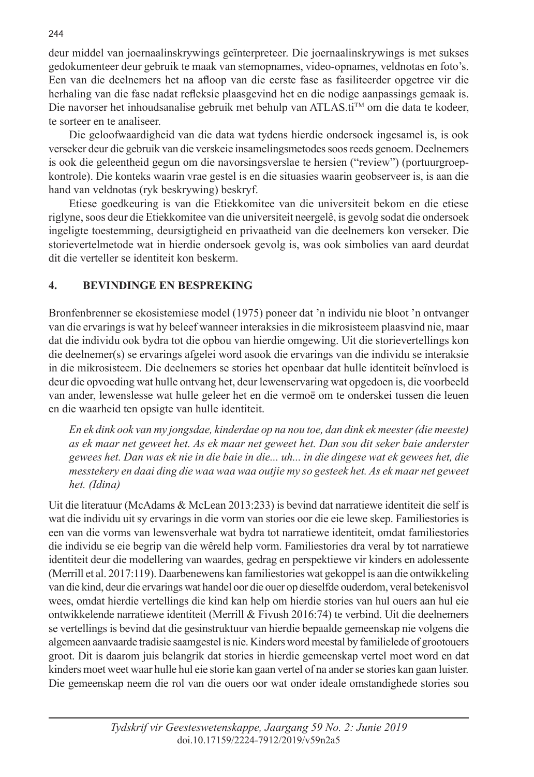deur middel van joernaalinskrywings geïnterpreteer. Die joernaalinskrywings is met sukses gedokumenteer deur gebruik te maak van stemopnames, video-opnames, veldnotas en foto's. Een van die deelnemers het na afloop van die eerste fase as fasiliteerder opgetree vir die herhaling van die fase nadat refleksie plaasgevind het en die nodige aanpassings gemaak is. Die navorser het inhoudsanalise gebruik met behulp van ATLAS.ti<sup>TM</sup> om die data te kodeer, te sorteer en te analiseer.

Die geloofwaardigheid van die data wat tydens hierdie ondersoek ingesamel is, is ook verseker deur die gebruik van die verskeie insamelingsmetodes soos reeds genoem. Deelnemers is ook die geleentheid gegun om die navorsingsverslae te hersien ("review") (portuurgroepkontrole). Die konteks waarin vrae gestel is en die situasies waarin geobserveer is, is aan die hand van veldnotas (ryk beskrywing) beskryf.

Etiese goedkeuring is van die Etiekkomitee van die universiteit bekom en die etiese riglyne, soos deur die Etiekkomitee van die universiteit neergelê, is gevolg sodat die ondersoek ingeligte toestemming, deursigtigheid en privaatheid van die deelnemers kon verseker. Die storievertelmetode wat in hierdie ondersoek gevolg is, was ook simbolies van aard deurdat dit die verteller se identiteit kon beskerm.

# **4. BEVINDINGE EN BESPREKING**

Bronfenbrenner se ekosistemiese model (1975) poneer dat 'n individu nie bloot 'n ontvanger van die ervarings is wat hy beleef wanneer interaksies in die mikrosisteem plaasvind nie, maar dat die individu ook bydra tot die opbou van hierdie omgewing. Uit die storievertellings kon die deelnemer(s) se ervarings afgelei word asook die ervarings van die individu se interaksie in die mikrosisteem. Die deelnemers se stories het openbaar dat hulle identiteit beïnvloed is deur die opvoeding wat hulle ontvang het, deur lewenservaring wat opgedoen is, die voorbeeld van ander, lewenslesse wat hulle geleer het en die vermoë om te onderskei tussen die leuen en die waarheid ten opsigte van hulle identiteit.

*En ek dink ook van my jongsdae, kinderdae op na nou toe, dan dink ek meester (die meeste) as ek maar net geweet het. As ek maar net geweet het. Dan sou dit seker baie anderster gewees het. Dan was ek nie in die baie in die... uh... in die dingese wat ek gewees het, die messtekery en daai ding die waa waa waa outjie my so gesteek het. As ek maar net geweet het. (Idina)*

Uit die literatuur (McAdams & McLean 2013:233) is bevind dat narratiewe identiteit die self is wat die individu uit sy ervarings in die vorm van stories oor die eie lewe skep. Familiestories is een van die vorms van lewensverhale wat bydra tot narratiewe identiteit, omdat familiestories die individu se eie begrip van die wêreld help vorm. Familiestories dra veral by tot narratiewe identiteit deur die modellering van waardes, gedrag en perspektiewe vir kinders en adolessente (Merrill et al. 2017:119). Daarbenewens kan familiestories wat gekoppel is aan die ontwikkeling van die kind, deur die ervarings wat handel oor die ouer op dieselfde ouderdom, veral betekenisvol wees, omdat hierdie vertellings die kind kan help om hierdie stories van hul ouers aan hul eie ontwikkelende narratiewe identiteit (Merrill & Fivush 2016:74) te verbind. Uit die deelnemers se vertellings is bevind dat die gesinstruktuur van hierdie bepaalde gemeenskap nie volgens die algemeen aanvaarde tradisie saamgestel is nie. Kinders word meestal by familielede of grootouers groot. Dit is daarom juis belangrik dat stories in hierdie gemeenskap vertel moet word en dat kinders moet weet waar hulle hul eie storie kan gaan vertel of na ander se stories kan gaan luister. Die gemeenskap neem die rol van die ouers oor wat onder ideale omstandighede stories sou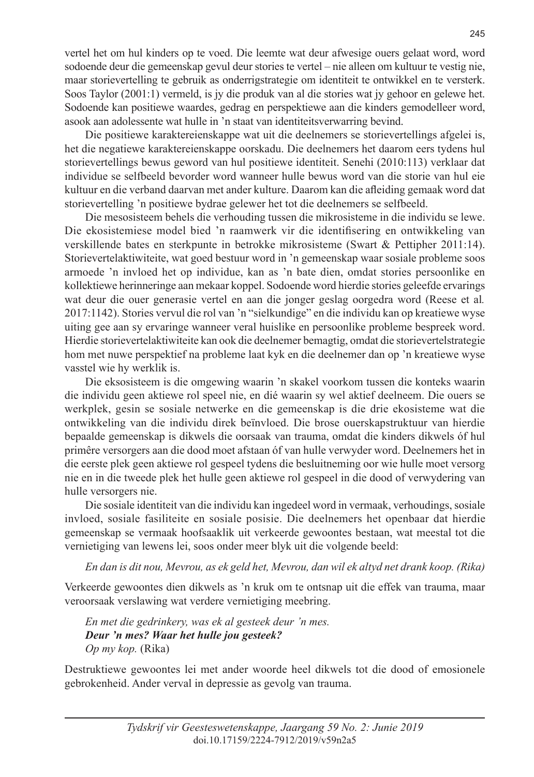vertel het om hul kinders op te voed. Die leemte wat deur afwesige ouers gelaat word, word sodoende deur die gemeenskap gevul deur stories te vertel – nie alleen om kultuur te vestig nie, maar storievertelling te gebruik as onderrigstrategie om identiteit te ontwikkel en te versterk. Soos Taylor (2001:1) vermeld, is jy die produk van al die stories wat jy gehoor en gelewe het. Sodoende kan positiewe waardes, gedrag en perspektiewe aan die kinders gemodelleer word, asook aan adolessente wat hulle in 'n staat van identiteitsverwarring bevind.

Die positiewe karaktereienskappe wat uit die deelnemers se storievertellings afgelei is, het die negatiewe karaktereienskappe oorskadu. Die deelnemers het daarom eers tydens hul storievertellings bewus geword van hul positiewe identiteit. Senehi (2010:113) verklaar dat individue se selfbeeld bevorder word wanneer hulle bewus word van die storie van hul eie kultuur en die verband daarvan met ander kulture. Daarom kan die afleiding gemaak word dat storievertelling 'n positiewe bydrae gelewer het tot die deelnemers se selfbeeld.

Die mesosisteem behels die verhouding tussen die mikrosisteme in die individu se lewe. Die ekosistemiese model bied 'n raamwerk vir die identifisering en ontwikkeling van verskillende bates en sterkpunte in betrokke mikrosisteme (Swart & Pettipher 2011:14). Storievertelaktiwiteite, wat goed bestuur word in 'n gemeenskap waar sosiale probleme soos armoede 'n invloed het op individue, kan as 'n bate dien, omdat stories persoonlike en kollektiewe herinneringe aan mekaar koppel. Sodoende word hierdie stories geleefde ervarings wat deur die ouer generasie vertel en aan die jonger geslag oorgedra word (Reese et al*.* 2017:1142). Stories vervul die rol van 'n "sielkundige" en die individu kan op kreatiewe wyse uiting gee aan sy ervaringe wanneer veral huislike en persoonlike probleme bespreek word. Hierdie storievertelaktiwiteite kan ook die deelnemer bemagtig, omdat die storievertelstrategie hom met nuwe perspektief na probleme laat kyk en die deelnemer dan op 'n kreatiewe wyse vasstel wie hy werklik is.

Die eksosisteem is die omgewing waarin 'n skakel voorkom tussen die konteks waarin die individu geen aktiewe rol speel nie, en dié waarin sy wel aktief deelneem. Die ouers se werkplek, gesin se sosiale netwerke en die gemeenskap is die drie ekosisteme wat die ontwikkeling van die individu direk beïnvloed. Die brose ouerskapstruktuur van hierdie bepaalde gemeenskap is dikwels die oorsaak van trauma, omdat die kinders dikwels óf hul primêre versorgers aan die dood moet afstaan óf van hulle verwyder word. Deelnemers het in die eerste plek geen aktiewe rol gespeel tydens die besluitneming oor wie hulle moet versorg nie en in die tweede plek het hulle geen aktiewe rol gespeel in die dood of verwydering van hulle versorgers nie.

Die sosiale identiteit van die individu kan ingedeel word in vermaak, verhoudings, sosiale invloed, sosiale fasiliteite en sosiale posisie. Die deelnemers het openbaar dat hierdie gemeenskap se vermaak hoofsaaklik uit verkeerde gewoontes bestaan, wat meestal tot die vernietiging van lewens lei, soos onder meer blyk uit die volgende beeld:

*En dan is dit nou, Mevrou, as ek geld het, Mevrou, dan wil ek altyd net drank koop. (Rika)*

Verkeerde gewoontes dien dikwels as 'n kruk om te ontsnap uit die effek van trauma, maar veroorsaak verslawing wat verdere vernietiging meebring.

*En met die gedrinkery, was ek al gesteek deur 'n mes. Deur 'n mes? Waar het hulle jou gesteek? Op my kop.* (Rika)

Destruktiewe gewoontes lei met ander woorde heel dikwels tot die dood of emosionele gebrokenheid. Ander verval in depressie as gevolg van trauma.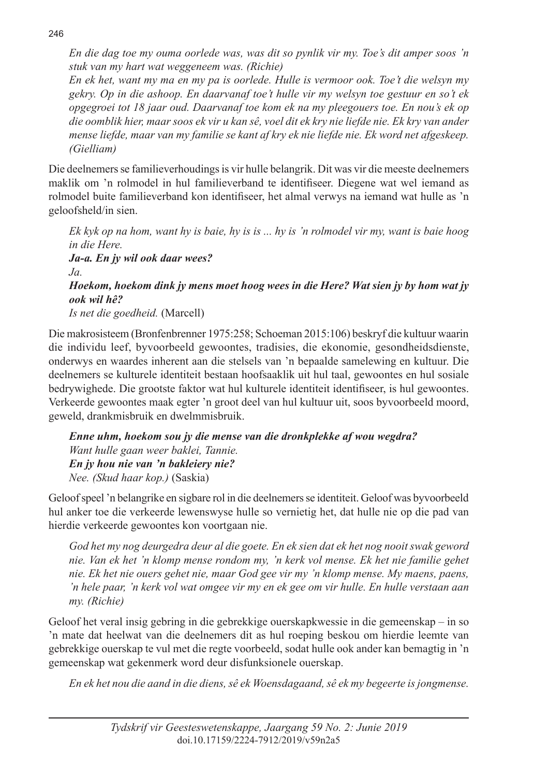*En die dag toe my ouma oorlede was, was dit so pynlik vir my. Toe's dit amper soos 'n stuk van my hart wat weggeneem was. (Richie)*

*En ek het, want my ma en my pa is oorlede. Hulle is vermoor ook. Toe't die welsyn my gekry. Op in die ashoop. En daarvanaf toe't hulle vir my welsyn toe gestuur en so't ek opgegroei tot 18 jaar oud. Daarvanaf toe kom ek na my pleegouers toe. En nou's ek op die oomblik hier, maar soos ek vir u kan sê, voel dit ek kry nie liefde nie. Ek kry van ander mense liefde, maar van my familie se kant af kry ek nie liefde nie. Ek word net afgeskeep. (Gielliam)*

Die deelnemers se familieverhoudings is vir hulle belangrik. Dit was vir die meeste deelnemers maklik om 'n rolmodel in hul familieverband te identifiseer. Diegene wat wel iemand as rolmodel buite familieverband kon identifiseer, het almal verwys na iemand wat hulle as 'n geloofsheld/in sien.

*Ek kyk op na hom, want hy is baie, hy is is ... hy is 'n rolmodel vir my, want is baie hoog in die Here. Ja-a. En jy wil ook daar wees? Ja. Hoekom, hoekom dink jy mens moet hoog wees in die Here? Wat sien jy by hom wat jy ook wil hê? Is net die goedheid.* (Marcell)

Die makrosisteem (Bronfenbrenner 1975:258; Schoeman 2015:106) beskryf die kultuur waarin die individu leef, byvoorbeeld gewoontes, tradisies, die ekonomie, gesondheidsdienste, onderwys en waardes inherent aan die stelsels van 'n bepaalde samelewing en kultuur. Die deelnemers se kulturele identiteit bestaan hoofsaaklik uit hul taal, gewoontes en hul sosiale bedrywighede. Die grootste faktor wat hul kulturele identiteit identifiseer, is hul gewoontes. Verkeerde gewoontes maak egter 'n groot deel van hul kultuur uit, soos byvoorbeeld moord, geweld, drankmisbruik en dwelmmisbruik.

*Enne uhm, hoekom sou jy die mense van die dronkplekke af wou wegdra? Want hulle gaan weer baklei, Tannie. En jy hou nie van 'n bakleiery nie? Nee. (Skud haar kop.)* (Saskia)

Geloof speel 'n belangrike en sigbare rol in die deelnemers se identiteit. Geloof was byvoorbeeld hul anker toe die verkeerde lewenswyse hulle so vernietig het, dat hulle nie op die pad van hierdie verkeerde gewoontes kon voortgaan nie.

*God het my nog deurgedra deur al die goete. En ek sien dat ek het nog nooit swak geword nie. Van ek het 'n klomp mense rondom my, 'n kerk vol mense. Ek het nie familie gehet nie. Ek het nie ouers gehet nie, maar God gee vir my 'n klomp mense. My maens, paens, 'n hele paar, 'n kerk vol wat omgee vir my en ek gee om vir hulle. En hulle verstaan aan my. (Richie)*

Geloof het veral insig gebring in die gebrekkige ouerskapkwessie in die gemeenskap – in so 'n mate dat heelwat van die deelnemers dit as hul roeping beskou om hierdie leemte van gebrekkige ouerskap te vul met die regte voorbeeld, sodat hulle ook ander kan bemagtig in 'n gemeenskap wat gekenmerk word deur disfunksionele ouerskap.

*En ek het nou die aand in die diens, sê ek Woensdagaand, sê ek my begeerte is jongmense.* 

246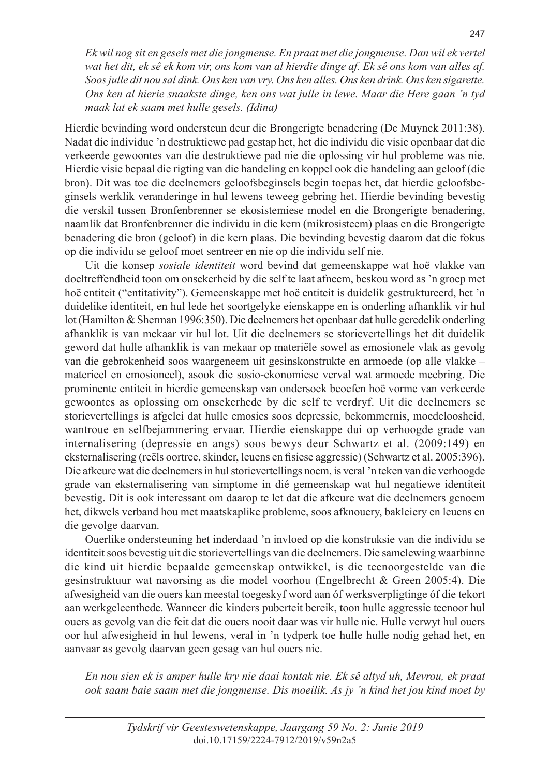*Ek wil nog sit en gesels met die jongmense. En praat met die jongmense. Dan wil ek vertel wat het dit, ek sê ek kom vir, ons kom van al hierdie dinge af. Ek sê ons kom van alles af. Soos julle dit nou sal dink. Ons ken van vry. Ons ken alles. Ons ken drink. Ons ken sigarette. Ons ken al hierie snaakste dinge, ken ons wat julle in lewe. Maar die Here gaan 'n tyd maak lat ek saam met hulle gesels. (Idina)*

Hierdie bevinding word ondersteun deur die Brongerigte benadering (De Muynck 2011:38). Nadat die individue 'n destruktiewe pad gestap het, het die individu die visie openbaar dat die verkeerde gewoontes van die destruktiewe pad nie die oplossing vir hul probleme was nie. Hierdie visie bepaal die rigting van die handeling en koppel ook die handeling aan geloof (die bron). Dit was toe die deelnemers geloofsbeginsels begin toepas het, dat hierdie geloofsbeginsels werklik veranderinge in hul lewens teweeg gebring het. Hierdie bevinding bevestig die verskil tussen Bronfenbrenner se ekosistemiese model en die Brongerigte benadering, naamlik dat Bronfenbrenner die individu in die kern (mikrosisteem) plaas en die Brongerigte benadering die bron (geloof) in die kern plaas. Die bevinding bevestig daarom dat die fokus op die individu se geloof moet sentreer en nie op die individu self nie.

Uit die konsep *sosiale identiteit* word bevind dat gemeenskappe wat hoë vlakke van doeltreffendheid toon om onsekerheid by die self te laat afneem, beskou word as 'n groep met hoë entiteit ("entitativity"). Gemeenskappe met hoë entiteit is duidelik gestruktureerd, het 'n duidelike identiteit, en hul lede het soortgelyke eienskappe en is onderling afhanklik vir hul lot (Hamilton & Sherman 1996:350). Die deelnemers het openbaar dat hulle geredelik onderling afhanklik is van mekaar vir hul lot. Uit die deelnemers se storievertellings het dit duidelik geword dat hulle afhanklik is van mekaar op materiële sowel as emosionele vlak as gevolg van die gebrokenheid soos waargeneem uit gesinskonstrukte en armoede (op alle vlakke – materieel en emosioneel), asook die sosio-ekonomiese verval wat armoede meebring. Die prominente entiteit in hierdie gemeenskap van ondersoek beoefen hoë vorme van verkeerde gewoontes as oplossing om onsekerhede by die self te verdryf. Uit die deelnemers se storievertellings is afgelei dat hulle emosies soos depressie, bekommernis, moedeloosheid, wantroue en selfbejammering ervaar. Hierdie eienskappe dui op verhoogde grade van internalisering (depressie en angs) soos bewys deur Schwartz et al. (2009:149) en eksternalisering (reëls oortree, skinder, leuens en fisiese aggressie) (Schwartz et al. 2005:396). Die afkeure wat die deelnemers in hul storievertellings noem, is veral 'n teken van die verhoogde grade van eksternalisering van simptome in dié gemeenskap wat hul negatiewe identiteit bevestig. Dit is ook interessant om daarop te let dat die afkeure wat die deelnemers genoem het, dikwels verband hou met maatskaplike probleme, soos afknouery, bakleiery en leuens en die gevolge daarvan.

Ouerlike ondersteuning het inderdaad 'n invloed op die konstruksie van die individu se identiteit soos bevestig uit die storievertellings van die deelnemers. Die samelewing waarbinne die kind uit hierdie bepaalde gemeenskap ontwikkel, is die teenoorgestelde van die gesinstruktuur wat navorsing as die model voorhou (Engelbrecht & Green 2005:4). Die afwesigheid van die ouers kan meestal toegeskyf word aan óf werksverpligtinge óf die tekort aan werkgeleenthede. Wanneer die kinders puberteit bereik, toon hulle aggressie teenoor hul ouers as gevolg van die feit dat die ouers nooit daar was vir hulle nie. Hulle verwyt hul ouers oor hul afwesigheid in hul lewens, veral in 'n tydperk toe hulle hulle nodig gehad het, en aanvaar as gevolg daarvan geen gesag van hul ouers nie.

*En nou sien ek is amper hulle kry nie daai kontak nie. Ek sê altyd uh, Mevrou, ek praat ook saam baie saam met die jongmense. Dis moeilik. As jy 'n kind het jou kind moet by*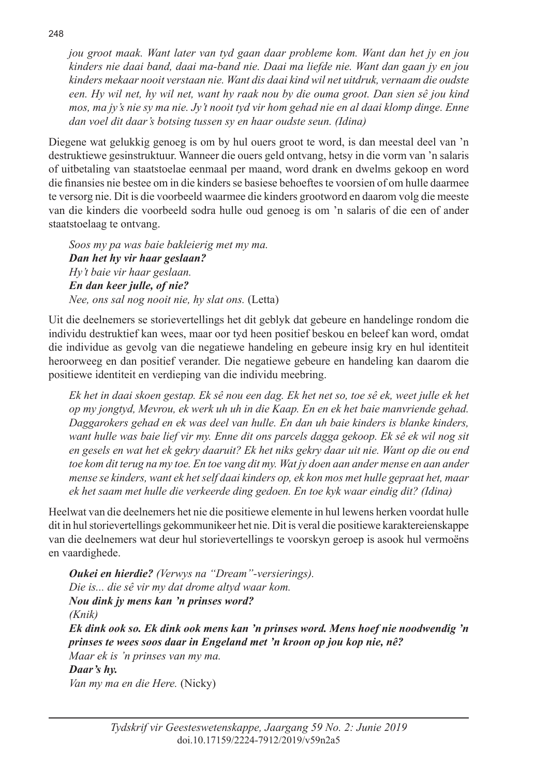*jou groot maak. Want later van tyd gaan daar probleme kom. Want dan het jy en jou kinders nie daai band, daai ma-band nie. Daai ma liefde nie. Want dan gaan jy en jou kinders mekaar nooit verstaan nie. Want dis daai kind wil net uitdruk, vernaam die oudste een. Hy wil net, hy wil net, want hy raak nou by die ouma groot. Dan sien sê jou kind mos, ma jy's nie sy ma nie. Jy't nooit tyd vir hom gehad nie en al daai klomp dinge. Enne dan voel dit daar's botsing tussen sy en haar oudste seun. (Idina)*

Diegene wat gelukkig genoeg is om by hul ouers groot te word, is dan meestal deel van 'n destruktiewe gesinstruktuur. Wanneer die ouers geld ontvang, hetsy in die vorm van 'n salaris of uitbetaling van staatstoelae eenmaal per maand, word drank en dwelms gekoop en word die finansies nie bestee om in die kinders se basiese behoeftes te voorsien of om hulle daarmee te versorg nie. Dit is die voorbeeld waarmee die kinders grootword en daarom volg die meeste van die kinders die voorbeeld sodra hulle oud genoeg is om 'n salaris of die een of ander staatstoelaag te ontvang.

*Soos my pa was baie bakleierig met my ma. Dan het hy vir haar geslaan? Hy't baie vir haar geslaan. En dan keer julle, of nie? Nee, ons sal nog nooit nie, hy slat ons.* (Letta)

Uit die deelnemers se storievertellings het dit geblyk dat gebeure en handelinge rondom die individu destruktief kan wees, maar oor tyd heen positief beskou en beleef kan word, omdat die individue as gevolg van die negatiewe handeling en gebeure insig kry en hul identiteit heroorweeg en dan positief verander. Die negatiewe gebeure en handeling kan daarom die positiewe identiteit en verdieping van die individu meebring.

*Ek het in daai skoen gestap. Ek sê nou een dag. Ek het net so, toe sê ek, weet julle ek het op my jongtyd, Mevrou, ek werk uh uh in die Kaap. En en ek het baie manvriende gehad. Daggarokers gehad en ek was deel van hulle. En dan uh baie kinders is blanke kinders, want hulle was baie lief vir my. Enne dit ons parcels dagga gekoop. Ek sê ek wil nog sit en gesels en wat het ek gekry daaruit? Ek het niks gekry daar uit nie. Want op die ou end toe kom dit terug na my toe. En toe vang dit my. Wat jy doen aan ander mense en aan ander mense se kinders, want ek het self daai kinders op, ek kon mos met hulle gepraat het, maar ek het saam met hulle die verkeerde ding gedoen. En toe kyk waar eindig dit? (Idina)*

Heelwat van die deelnemers het nie die positiewe elemente in hul lewens herken voordat hulle dit in hul storievertellings gekommunikeer het nie. Dit is veral die positiewe karaktereienskappe van die deelnemers wat deur hul storievertellings te voorskyn geroep is asook hul vermoëns en vaardighede.

*Oukei en hierdie? (Verwys na "Dream"-versierings). Die is... die sê vir my dat drome altyd waar kom. Nou dink jy mens kan 'n prinses word? (Knik) Ek dink ook so. Ek dink ook mens kan 'n prinses word. Mens hoef nie noodwendig 'n prinses te wees soos daar in Engeland met 'n kroon op jou kop nie, nê? Maar ek is 'n prinses van my ma. Daar's hy. Van my ma en die Here.* (Nicky)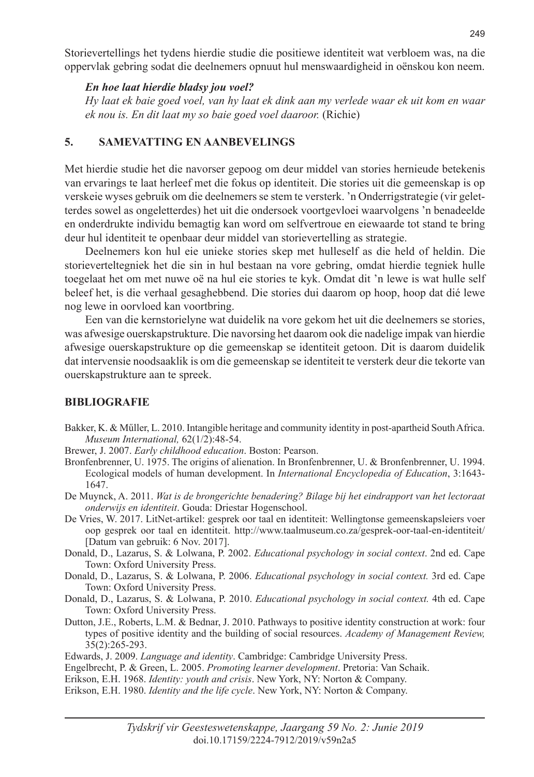Storievertellings het tydens hierdie studie die positiewe identiteit wat verbloem was, na die oppervlak gebring sodat die deelnemers opnuut hul menswaardigheid in oënskou kon neem.

#### *En hoe laat hierdie bladsy jou voel?*

*Hy laat ek baie goed voel, van hy laat ek dink aan my verlede waar ek uit kom en waar ek nou is. En dit laat my so baie goed voel daaroor.* (Richie)

# **5. SAMEVATTING EN AANBEVELINGS**

Met hierdie studie het die navorser gepoog om deur middel van stories hernieude betekenis van ervarings te laat herleef met die fokus op identiteit. Die stories uit die gemeenskap is op verskeie wyses gebruik om die deelnemers se stem te versterk. 'n Onderrigstrategie (vir geletterdes sowel as ongeletterdes) het uit die ondersoek voortgevloei waarvolgens 'n benadeelde en onderdrukte individu bemagtig kan word om selfvertroue en eiewaarde tot stand te bring deur hul identiteit te openbaar deur middel van storievertelling as strategie.

Deelnemers kon hul eie unieke stories skep met hulleself as die held of heldin. Die storieverteltegniek het die sin in hul bestaan na vore gebring, omdat hierdie tegniek hulle toegelaat het om met nuwe oë na hul eie stories te kyk. Omdat dit 'n lewe is wat hulle self beleef het, is die verhaal gesaghebbend. Die stories dui daarom op hoop, hoop dat dié lewe nog lewe in oorvloed kan voortbring.

Een van die kernstorielyne wat duidelik na vore gekom het uit die deelnemers se stories, was afwesige ouerskapstrukture. Die navorsing het daarom ook die nadelige impak van hierdie afwesige ouerskapstrukture op die gemeenskap se identiteit getoon. Dit is daarom duidelik dat intervensie noodsaaklik is om die gemeenskap se identiteit te versterk deur die tekorte van ouerskapstrukture aan te spreek.

# **BIBLIOGRAFIE**

- Bakker, K. & Műller, L. 2010. Intangible heritage and community identity in post-apartheid South Africa. *Museum International,* 62(1/2):48-54.
- Brewer, J. 2007. *Early childhood education*. Boston: Pearson.
- Bronfenbrenner, U. 1975. The origins of alienation. In Bronfenbrenner, U. & Bronfenbrenner, U. 1994. Ecological models of human development. In *International Encyclopedia of Education*, 3:1643- 1647.

De Muynck, A. 2011. *Wat is de brongerichte benadering? Bilage bij het eindrapport van het lectoraat onderwijs en identiteit*. Gouda: Driestar Hogenschool.

- De Vries, W. 2017. LitNet-artikel: gesprek oor taal en identiteit: Wellingtonse gemeenskapsleiers voer oop gesprek oor taal en identiteit. http://www.taalmuseum.co.za/gesprek-oor-taal-en-identiteit/ [Datum van gebruik: 6 Nov. 2017].
- Donald, D., Lazarus, S. & Lolwana, P. 2002. *Educational psychology in social context*. 2nd ed. Cape Town: Oxford University Press.
- Donald, D., Lazarus, S. & Lolwana, P. 2006. *Educational psychology in social context.* 3rd ed. Cape Town: Oxford University Press.
- Donald, D., Lazarus, S. & Lolwana, P. 2010. *Educational psychology in social context.* 4th ed. Cape Town: Oxford University Press.
- Dutton, J.E., Roberts, L.M. & Bednar, J. 2010. Pathways to positive identity construction at work: four types of positive identity and the building of social resources. *Academy of Management Review,*  35(2):265-293.
- Edwards, J. 2009. *Language and identity*. Cambridge: Cambridge University Press.
- Engelbrecht, P. & Green, L. 2005. *Promoting learner development*. Pretoria: Van Schaik.
- Erikson, E.H. 1968. *Identity: youth and crisis*. New York, NY: Norton & Company.
- Erikson, E.H. 1980. *Identity and the life cycle*. New York, NY: Norton & Company.